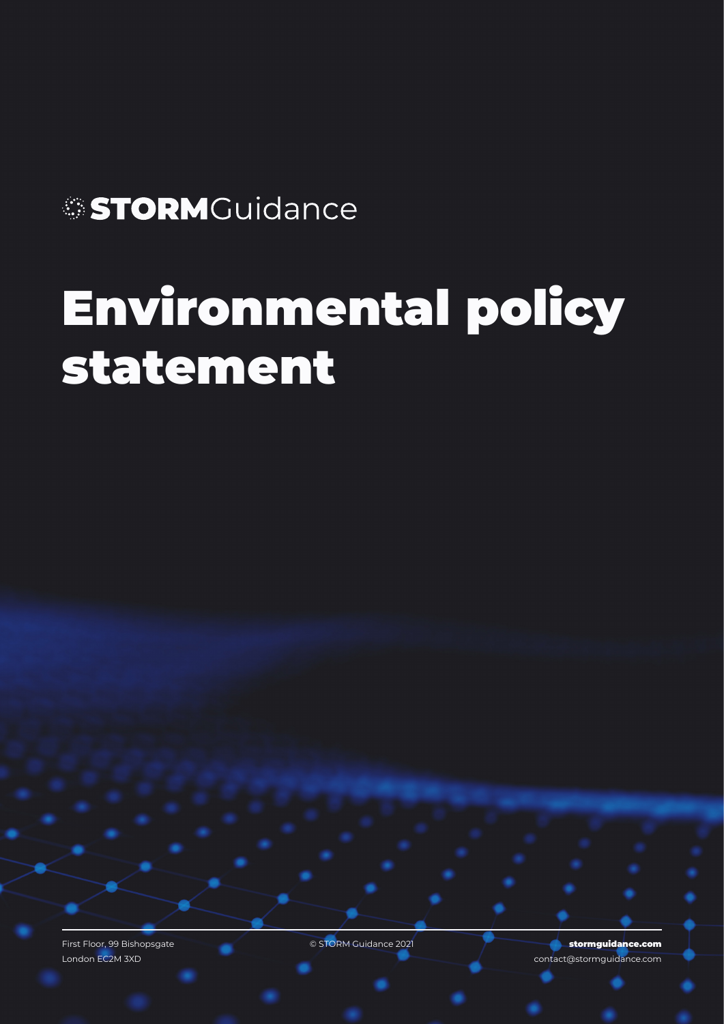STORMGuidance

## Environmental policy statement

First Floor, 99 Bishopsgate © STORM Guidance 2021 London EC2M 3XD

stormguidance.com contact@stormguidance.com